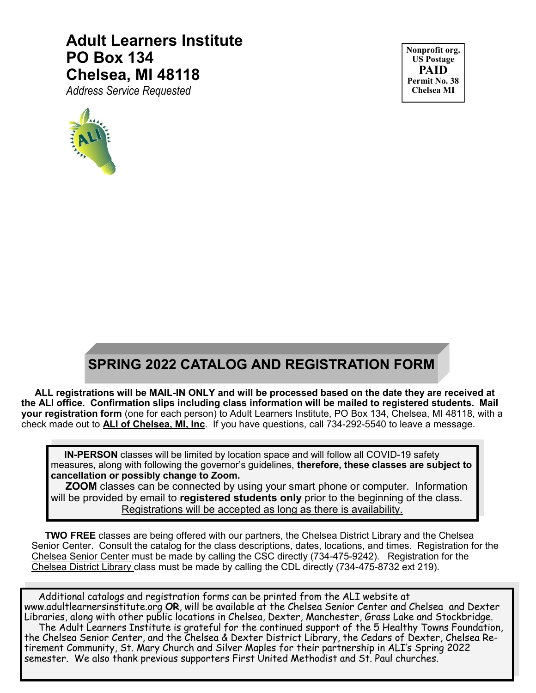# **Adult Learners Institute PO Box 134 Chelsea, MI 48118**

*Address Service Requested*



**Nonprofit org. US Postage PAID Permit No. 38 Chelsea MI**

# **SPRING 2022 CATALOG AND REGISTRATION FORM**

 **ALL registrations will be MAIL-IN ONLY and will be processed based on the date they are received at the ALI office. Confirmation slips including class information will be mailed to registered students. Mail your registration form** (one for each person) to Adult Learners Institute, PO Box 134, Chelsea, MI 48118, with a check made out to **ALI of Chelsea, MI, Inc**. If you have questions, call 734-292-5540 to leave a message.

 **IN-PERSON** classes will be limited by location space and will follow all COVID-19 safety measures, along with following the governor's guidelines, **therefore, these classes are subject to cancellation or possibly change to Zoom.** 

**ZOOM** classes can be connected by using your smart phone or computer. Information will be provided by email to **registered students only** prior to the beginning of the class. Registrations will be accepted as long as there is availability.

 **TWO FREE** classes are being offered with our partners, the Chelsea District Library and the Chelsea Senior Center. Consult the catalog for the class descriptions, dates, locations, and times. Registration for the Chelsea Senior Center must be made by calling the CSC directly (734-475-9242). Registration for the Chelsea District Library class must be made by calling the CDL directly (734-475-8732 ext 219).

 Additional catalogs and registration forms can be printed from the ALI website at www.adultlearnersinstitute.org **OR**, will be available at the Chelsea Senior Center and Chelsea and Dexter Libraries, along with other public locations in Chelsea, Dexter, Manchester, Grass Lake and Stockbridge. The Adult Learners Institute is grateful for the continued support of the 5 Healthy Towns Foundation, the Chelsea Senior Center, and the Chelsea & Dexter District Library, the Cedars of Dexter, Chelsea Retirement Community, St. Mary Church and Silver Maples for their partnership in ALI's Spring 2022 semester. We also thank previous supporters First United Methodist and St. Paul churches.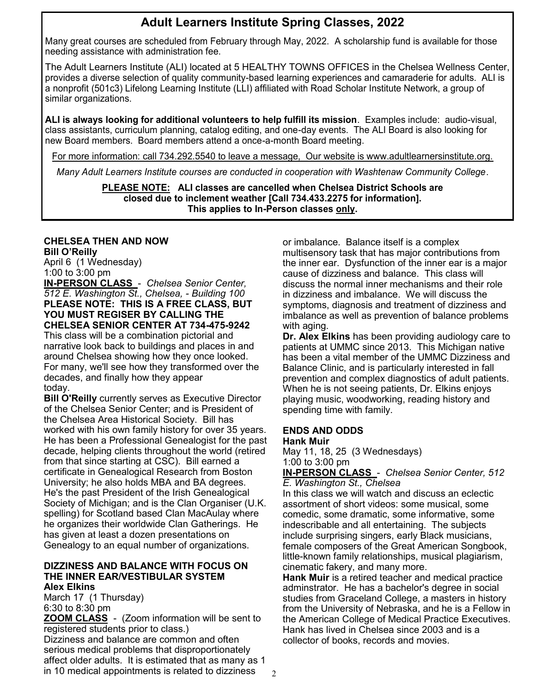# **Adult Learners Institute Spring Classes, 2022**

Many great courses are scheduled from February through May, 2022. A scholarship fund is available for those needing assistance with administration fee.

The Adult Learners Institute (ALI) located at 5 HEALTHY TOWNS OFFICES in the Chelsea Wellness Center, provides a diverse selection of quality community-based learning experiences and camaraderie for adults. ALI is a nonprofit (501c3) Lifelong Learning Institute (LLI) affiliated with Road Scholar Institute Network, a group of similar organizations.

**ALI is always looking for additional volunteers to help fulfill its mission**. Examples include: audio-visual, class assistants, curriculum planning, catalog editing, and one-day events. The ALI Board is also looking for new Board members. Board members attend a once-a-month Board meeting.

For more information: call 734.292.5540 to leave a message, Our website is www.adultlearnersinstitute.org.

*Many Adult Learners Institute courses are conducted in cooperation with Washtenaw Community College*.

**PLEASE NOTE: ALI classes are cancelled when Chelsea District Schools are closed due to inclement weather [Call 734.433.2275 for information]. This applies to In-Person classes only.**

# **CHELSEA THEN AND NOW**

**Bill O'Reilly** April 6 (1 Wednesday) 1:00 to 3:00 pm

**IN-PERSON CLASS** - *Chelsea Senior Center, 512 E. Washington St., Chelsea, - Building 100* **PLEASE NOTE: THIS IS A FREE CLASS, BUT YOU MUST REGISER BY CALLING THE CHELSEA SENIOR CENTER AT 734-475-9242**

This class will be a combination pictorial and narrative look back to buildings and places in and around Chelsea showing how they once looked. For many, we'll see how they transformed over the decades, and finally how they appear today.

**Bill O'Reilly** currently serves as Executive Director of the Chelsea Senior Center; and is President of the Chelsea Area Historical Society. Bill has worked with his own family history for over 35 years. He has been a Professional Genealogist for the past decade, helping clients throughout the world (retired from that since starting at CSC). Bill earned a certificate in Genealogical Research from Boston University; he also holds MBA and BA degrees. He's the past President of the Irish Genealogical Society of Michigan; and is the Clan Organiser (U.K. spelling) for Scotland based Clan MacAulay where he organizes their worldwide Clan Gatherings. He has given at least a dozen presentations on Genealogy to an equal number of organizations.

#### **DIZZINESS AND BALANCE WITH FOCUS ON THE INNER EAR/VESTIBULAR SYSTEM Alex Elkins**

March 17 (1 Thursday) 6:30 to 8:30 pm

**ZOOM CLASS** - (Zoom information will be sent to registered students prior to class.)

Dizziness and balance are common and often serious medical problems that disproportionately affect older adults. It is estimated that as many as 1 in 10 medical appointments is related to dizziness

or imbalance. Balance itself is a complex multisensory task that has major contributions from the inner ear. Dysfunction of the inner ear is a major cause of dizziness and balance. This class will discuss the normal inner mechanisms and their role in dizziness and imbalance. We will discuss the symptoms, diagnosis and treatment of dizziness and imbalance as well as prevention of balance problems with aging.

**Dr. Alex Elkins** has been providing audiology care to patients at UMMC since 2013. This Michigan native has been a vital member of the UMMC Dizziness and Balance Clinic, and is particularly interested in fall prevention and complex diagnostics of adult patients. When he is not seeing patients, Dr. Elkins enjoys playing music, woodworking, reading history and spending time with family.

#### **ENDS AND ODDS Hank Muir**

May 11, 18, 25 (3 Wednesdays) 1:00 to 3:00 pm

**IN-PERSON CLASS** - *Chelsea Senior Center, 512 E. Washington St., Chelsea*

In this class we will watch and discuss an eclectic assortment of short videos: some musical, some comedic, some dramatic, some informative, some indescribable and all entertaining. The subjects include surprising singers, early Black musicians, female composers of the Great American Songbook, little-known family relationships, musical plagiarism, cinematic fakery, and many more.

**Hank Muir** is a retired teacher and medical practice adminstrator. He has a bachelor's degree in social studies from Graceland College, a masters in history from the University of Nebraska, and he is a Fellow in the American College of Medical Practice Executives. Hank has lived in Chelsea since 2003 and is a collector of books, records and movies.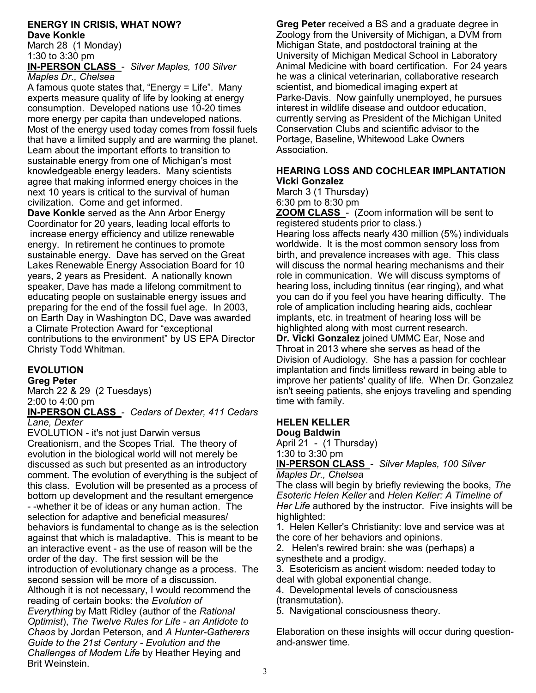#### **ENERGY IN CRISIS, WHAT NOW? Dave Konkle**

March 28 (1 Monday) 1:30 to 3:30 pm

**IN-PERSON CLASS** - *Silver Maples, 100 Silver Maples Dr., Chelsea*

A famous quote states that, "Energy = Life". Many experts measure quality of life by looking at energy consumption. Developed nations use 10-20 times more energy per capita than undeveloped nations. Most of the energy used today comes from fossil fuels that have a limited supply and are warming the planet. Learn about the important efforts to transition to sustainable energy from one of Michigan's most knowledgeable energy leaders. Many scientists agree that making informed energy choices in the next 10 years is critical to the survival of human civilization. Come and get informed.

**Dave Konkle** served as the Ann Arbor Energy Coordinator for 20 years, leading local efforts to increase energy efficiency and utilize renewable energy. In retirement he continues to promote sustainable energy. Dave has served on the Great Lakes Renewable Energy Association Board for 10 years, 2 years as President. A nationally known speaker, Dave has made a lifelong commitment to educating people on sustainable energy issues and preparing for the end of the fossil fuel age. In 2003, on Earth Day in Washington DC, Dave was awarded a Climate Protection Award for "exceptional contributions to the environment" by US EPA Director Christy Todd Whitman.

# **EVOLUTION**

**Greg Peter**

March 22 & 29 (2 Tuesdays) 2:00 to 4:00 pm

### **IN-PERSON CLASS** - *Cedars of Dexter, 411 Cedars Lane, Dexter*

EVOLUTION - it's not just Darwin versus Creationism, and the Scopes Trial. The theory of evolution in the biological world will not merely be discussed as such but presented as an introductory comment. The evolution of everything is the subject of this class. Evolution will be presented as a process of bottom up development and the resultant emergence - -whether it be of ideas or any human action. The selection for adaptive and beneficial measures/ behaviors is fundamental to change as is the selection against that which is maladaptive. This is meant to be an interactive event - as the use of reason will be the order of the day. The first session will be the introduction of evolutionary change as a process. The second session will be more of a discussion. Although it is not necessary, I would recommend the reading of certain books: the *Evolution of Everything* by Matt Ridley (author of the *Rational Optimist*), *The Twelve Rules for Life - an Antidote to Chaos* by Jordan Peterson, and *A Hunter-Gatherers Guide to the 21st Century - Evolution and the Challenges of Modern Life* by Heather Heying and Brit Weinstein.

**Greg Peter** received a BS and a graduate degree in Zoology from the University of Michigan, a DVM from Michigan State, and postdoctoral training at the University of Michigan Medical School in Laboratory Animal Medicine with board certification. For 24 years he was a clinical veterinarian, collaborative research scientist, and biomedical imaging expert at Parke-Davis. Now gainfully unemployed, he pursues interest in wildlife disease and outdoor education, currently serving as President of the Michigan United Conservation Clubs and scientific advisor to the Portage, Baseline, Whitewood Lake Owners Association.

#### **HEARING LOSS AND COCHLEAR IMPLANTATION Vicki Gonzalez**

March 3 (1 Thursday) 6:30 pm to 8:30 pm

**ZOOM CLASS** - (Zoom information will be sent to registered students prior to class.)

Hearing loss affects nearly 430 million (5%) individuals worldwide. It is the most common sensory loss from birth, and prevalence increases with age. This class will discuss the normal hearing mechanisms and their role in communication. We will discuss symptoms of hearing loss, including tinnitus (ear ringing), and what you can do if you feel you have hearing difficulty. The role of amplication including hearing aids, cochlear implants, etc. in treatment of hearing loss will be highlighted along with most current research.

**Dr. Vicki Gonzalez** joined UMMC Ear, Nose and Throat in 2013 where she serves as head of the Division of Audiology. She has a passion for cochlear implantation and finds limitless reward in being able to improve her patients' quality of life. When Dr. Gonzalez isn't seeing patients, she enjoys traveling and spending time with family.

### **HELEN KELLER Doug Baldwin**

April 21 - (1 Thursday) 1:30 to 3:30 pm **IN-PERSON CLASS** - *Silver Maples, 100 Silver Maples Dr., Chelsea*

The class will begin by briefly reviewing the books, *The Esoteric Helen Keller* and *Helen Keller: A Timeline of Her Life* authored by the instructor. Five insights will be highlighted:

1. Helen Keller's Christianity: love and service was at the core of her behaviors and opinions.

2. Helen's rewired brain: she was (perhaps) a synesthete and a prodigy.

3. Esotericism as ancient wisdom: needed today to deal with global exponential change.

4. Developmental levels of consciousness (transmutation).

5. Navigational consciousness theory.

Elaboration on these insights will occur during questionand-answer time.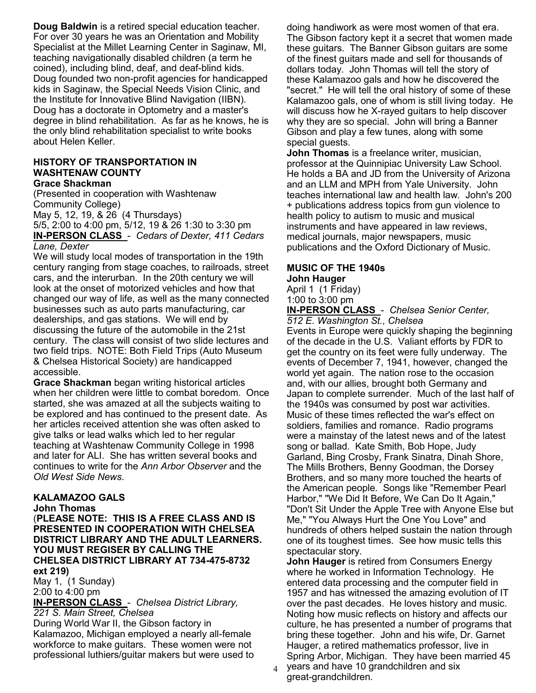**Doug Baldwin** is a retired special education teacher. For over 30 years he was an Orientation and Mobility Specialist at the Millet Learning Center in Saginaw, MI, teaching navigationally disabled children (a term he coined), including blind, deaf, and deaf-blind kids. Doug founded two non-profit agencies for handicapped kids in Saginaw, the Special Needs Vision Clinic, and the Institute for Innovative Blind Navigation (IIBN). Doug has a doctorate in Optometry and a master's degree in blind rehabilitation. As far as he knows, he is the only blind rehabilitation specialist to write books about Helen Keller.

#### **HISTORY OF TRANSPORTATION IN WASHTENAW COUNTY Grace Shackman**

(Presented in cooperation with Washtenaw Community College)

May 5, 12, 19, & 26 (4 Thursdays) 5/5, 2:00 to 4:00 pm, 5/12, 19 & 26 1:30 to 3:30 pm **IN-PERSON CLASS** - *Cedars of Dexter, 411 Cedars Lane, Dexter*

We will study local modes of transportation in the 19th century ranging from stage coaches, to railroads, street cars, and the interurban. In the 20th century we will look at the onset of motorized vehicles and how that changed our way of life, as well as the many connected businesses such as auto parts manufacturing, car dealerships, and gas stations. We will end by discussing the future of the automobile in the 21st century. The class will consist of two slide lectures and two field trips. NOTE: Both Field Trips (Auto Museum & Chelsea Historical Society) are handicapped accessible.

**Grace Shackman** began writing historical articles when her children were little to combat boredom. Once started, she was amazed at all the subjects waiting to be explored and has continued to the present date. As her articles received attention she was often asked to give talks or lead walks which led to her regular teaching at Washtenaw Community College in 1998 and later for ALI. She has written several books and continues to write for the *Ann Arbor Observer* and the *Old West Side News*.

## **KALAMAZOO GALS**

**John Thomas**

(**PLEASE NOTE: THIS IS A FREE CLASS AND IS PRESENTED IN COOPERATION WITH CHELSEA DISTRICT LIBRARY AND THE ADULT LEARNERS. YOU MUST REGISER BY CALLING THE CHELSEA DISTRICT LIBRARY AT 734-475-8732 ext 219)**

May 1, (1 Sunday) 2:00 to 4:00 pm

**IN-PERSON CLASS** - *Chelsea District Library, 221 S. Main Street, Chelsea*

During World War II, the Gibson factory in Kalamazoo, Michigan employed a nearly all-female workforce to make guitars. These women were not professional luthiers/guitar makers but were used to doing handiwork as were most women of that era. The Gibson factory kept it a secret that women made these guitars. The Banner Gibson guitars are some of the finest guitars made and sell for thousands of dollars today. John Thomas will tell the story of these Kalamazoo gals and how he discovered the "secret." He will tell the oral history of some of these Kalamazoo gals, one of whom is still living today. He will discuss how he X-rayed guitars to help discover why they are so special. John will bring a Banner Gibson and play a few tunes, along with some special guests.

**John Thomas** is a freelance writer, musician, professor at the Quinnipiac University Law School. He holds a BA and JD from the University of Arizona and an LLM and MPH from Yale University. John teaches international law and health law. John's 200 + publications address topics from gun violence to health policy to autism to music and musical instruments and have appeared in law reviews, medical journals, major newspapers, music publications and the Oxford Dictionary of Music.

#### **MUSIC OF THE 1940s John Hauger**

April 1 (1 Friday) 1:00 to 3:00 pm

**IN-PERSON CLASS** - *Chelsea Senior Center, 512 E. Washington St., Chelsea*

Events in Europe were quickly shaping the beginning of the decade in the U.S. Valiant efforts by FDR to get the country on its feet were fully underway. The events of December 7, 1941, however, changed the world yet again. The nation rose to the occasion and, with our allies, brought both Germany and Japan to complete surrender. Much of the last half of the 1940s was consumed by post war activities. Music of these times reflected the war's effect on soldiers, families and romance. Radio programs were a mainstay of the latest news and of the latest song or ballad. Kate Smith, Bob Hope, Judy Garland, Bing Crosby, Frank Sinatra, Dinah Shore, The Mills Brothers, Benny Goodman, the Dorsey Brothers, and so many more touched the hearts of the American people. Songs like "Remember Pearl Harbor," "We Did It Before, We Can Do It Again," "Don't Sit Under the Apple Tree with Anyone Else but Me," "You Always Hurt the One You Love" and hundreds of others helped sustain the nation through one of its toughest times. See how music tells this spectacular story.

**John Hauger** is retired from Consumers Energy where he worked in Information Technology. He entered data processing and the computer field in 1957 and has witnessed the amazing evolution of IT over the past decades. He loves history and music. Noting how music reflects on history and affects our culture, he has presented a number of programs that bring these together. John and his wife, Dr. Garnet Hauger, a retired mathematics professor, live in Spring Arbor, Michigan. They have been married 45

 $_4$  years and have 10 grandchildren and six great-grandchildren.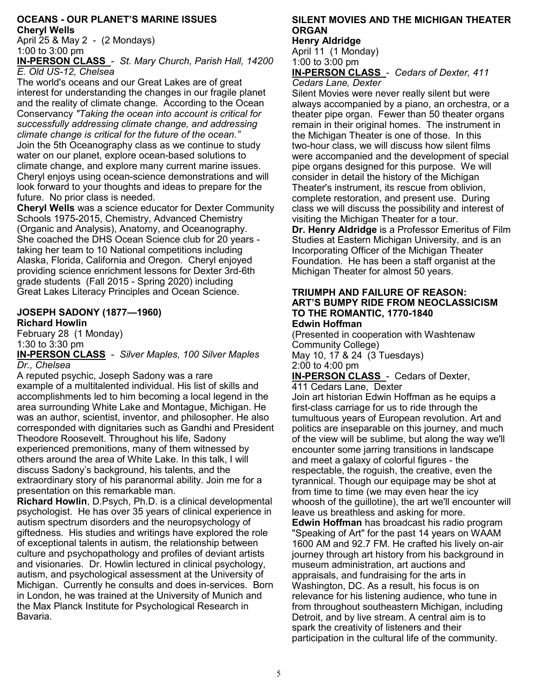#### **OCEANS - OUR PLANET'S MARINE ISSUES Cheryl Wells**

April 25 & May 2 - (2 Mondays) 1:00 to 3:00 pm

**IN-PERSON CLASS** - *St. Mary Church, Parish Hall, 14200 E. Old US-12, Chelsea* 

The world's oceans and our Great Lakes are of great interest for understanding the changes in our fragile planet and the reality of climate change. According to the Ocean Conservancy *"Taking the ocean into account is critical for successfully addressing climate change, and addressing climate change is critical for the future of the ocean."* Join the 5th Oceanography class as we continue to study water on our planet, explore ocean-based solutions to climate change, and explore many current marine issues. Cheryl enjoys using ocean-science demonstrations and will look forward to your thoughts and ideas to prepare for the future. No prior class is needed.

**Cheryl Wells** was a science educator for Dexter Community Schools 1975-2015, Chemistry, Advanced Chemistry (Organic and Analysis), Anatomy, and Oceanography. She coached the DHS Ocean Science club for 20 years taking her team to 10 National competitions including Alaska, Florida, California and Oregon. Cheryl enjoyed providing science enrichment lessons for Dexter 3rd-6th grade students (Fall 2015 - Spring 2020) including Great Lakes Literacy Principles and Ocean Science.

#### **JOSEPH SADONY (1877—1960) Richard Howlin**

February 28 (1 Monday) 1:30 to 3:30 pm

**IN-PERSON CLASS** - *Silver Maples, 100 Silver Maples Dr., Chelsea*

A reputed psychic, Joseph Sadony was a rare example of a multitalented individual. His list of skills and accomplishments led to him becoming a local legend in the area surrounding White Lake and Montague, Michigan. He was an author, scientist, inventor, and philosopher. He also corresponded with dignitaries such as Gandhi and President Theodore Roosevelt. Throughout his life, Sadony experienced premonitions, many of them witnessed by others around the area of White Lake. In this talk, I will discuss Sadony's background, his talents, and the extraordinary story of his paranormal ability. Join me for a presentation on this remarkable man.

**Richard Howlin**, D.Psych, Ph.D. is a clinical developmental psychologist. He has over 35 years of clinical experience in autism spectrum disorders and the neuropsychology of giftedness. His studies and writings have explored the role of exceptional talents in autism, the relationship between culture and psychopathology and profiles of deviant artists and visionaries. Dr. Howlin lectured in clinical psychology, autism, and psychological assessment at the University of Michigan. Currently he consults and does in-services. Born in London, he was trained at the University of Munich and the Max Planck Institute for Psychological Research in Bavaria.

# **SILENT MOVIES AND THE MICHIGAN THEATER ORGAN**

**Henry Aldridge** April 11 (1 Monday) 1:00 to 3:00 pm

**IN-PERSON CLASS** - *Cedars of Dexter, 411 Cedars Lane, Dexter*

Silent Movies were never really silent but were always accompanied by a piano, an orchestra, or a theater pipe organ. Fewer than 50 theater organs remain in their original homes. The instrument in the Michigan Theater is one of those. In this two-hour class, we will discuss how silent films were accompanied and the development of special pipe organs designed for this purpose. We will consider in detail the history of the Michigan Theater's instrument, its rescue from oblivion, complete restoration, and present use. During class we will discuss the possibility and interest of visiting the Michigan Theater for a tour. **Dr. Henry Aldridge** is a Professor Emeritus of Film Studies at Eastern Michigan University, and is an Incorporating Officer of the Michigan Theater Foundation. He has been a staff organist at the Michigan Theater for almost 50 years.

#### **TRIUMPH AND FAILURE OF REASON: ART'S BUMPY RIDE FROM NEOCLASSICISM TO THE ROMANTIC, 1770-1840 Edwin Hoffman**

(Presented in cooperation with Washtenaw Community College) May 10, 17 & 24 (3 Tuesdays) 2:00 to 4:00 pm **IN-PERSON CLASS** - Cedars of Dexter,

411 Cedars Lane, Dexter

Join art historian Edwin Hoffman as he equips a first-class carriage for us to ride through the tumultuous years of European revolution. Art and politics are inseparable on this journey, and much of the view will be sublime, but along the way we'll encounter some jarring transitions in landscape and meet a galaxy of colorful figures - the respectable, the roguish, the creative, even the tyrannical. Though our equipage may be shot at from time to time (we may even hear the icy whoosh of the guillotine), the art we'll encounter will leave us breathless and asking for more. **Edwin Hoffman** has broadcast his radio program "Speaking of Art" for the past 14 years on WAAM 1600 AM and 92.7 FM. He crafted his lively on-air journey through art history from his background in museum administration, art auctions and appraisals, and fundraising for the arts in Washington, DC. As a result, his focus is on relevance for his listening audience, who tune in from throughout southeastern Michigan, including Detroit, and by live stream. A central aim is to spark the creativity of listeners and their participation in the cultural life of the community.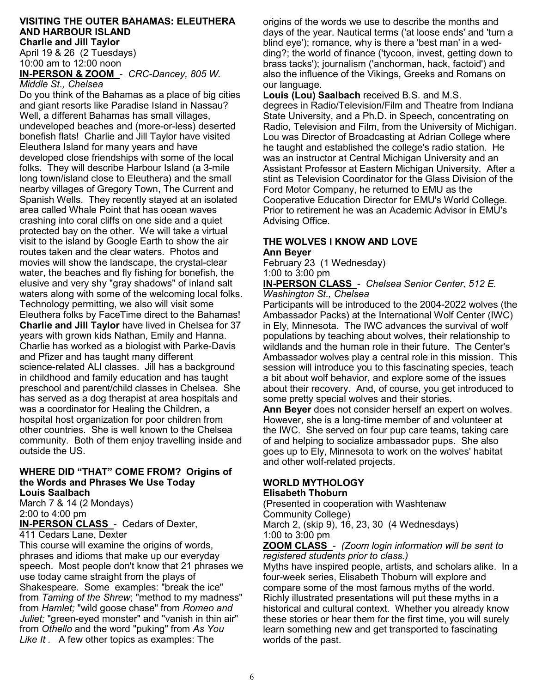# **VISITING THE OUTER BAHAMAS: ELEUTHERA AND HARBOUR ISLAND**

**Charlie and Jill Taylor** April 19 & 26 (2 Tuesdays) 10:00 am to 12:00 noon

**IN-PERSON & ZOOM** - *CRC-Dancey, 805 W. Middle St., Chelsea*

Do you think of the Bahamas as a place of big cities and giant resorts like Paradise Island in Nassau? Well, a different Bahamas has small villages, undeveloped beaches and (more-or-less) deserted bonefish flats! Charlie and Jill Taylor have visited Eleuthera Island for many years and have developed close friendships with some of the local folks. They will describe Harbour Island (a 3-mile long town/island close to Eleuthera) and the small nearby villages of Gregory Town, The Current and Spanish Wells. They recently stayed at an isolated area called Whale Point that has ocean waves crashing into coral cliffs on one side and a quiet protected bay on the other. We will take a virtual visit to the island by Google Earth to show the air routes taken and the clear waters. Photos and movies will show the landscape, the crystal-clear water, the beaches and fly fishing for bonefish, the elusive and very shy "gray shadows" of inland salt waters along with some of the welcoming local folks. Technology permitting, we also will visit some Eleuthera folks by FaceTime direct to the Bahamas! **Charlie and Jill Taylor** have lived in Chelsea for 37 years with grown kids Nathan, Emily and Hanna. Charlie has worked as a biologist with Parke-Davis and Pfizer and has taught many different science-related ALI classes. Jill has a background in childhood and family education and has taught preschool and parent/child classes in Chelsea. She has served as a dog therapist at area hospitals and was a coordinator for Healing the Children, a hospital host organization for poor children from other countries. She is well known to the Chelsea community. Both of them enjoy travelling inside and outside the US.

#### **WHERE DID "THAT" COME FROM? Origins of the Words and Phrases We Use Today Louis Saalbach**

March 7 & 14 (2 Mondays) 2:00 to 4:00 pm **IN-PERSON CLASS** - Cedars of Dexter,

411 Cedars Lane, Dexter

This course will examine the origins of words, phrases and idioms that make up our everyday speech. Most people don't know that 21 phrases we use today came straight from the plays of Shakespeare. Some examples: "break the ice" from *Taming of the Shrew*; "method to my madness" from *Hamlet;* "wild goose chase" from *Romeo and Juliet;* "green-eyed monster" and "vanish in thin air" from *Othello* and the word "puking" from *As You Like It .* A few other topics as examples: The

origins of the words we use to describe the months and days of the year. Nautical terms ('at loose ends' and 'turn a blind eye'); romance, why is there a 'best man' in a wedding?; the world of finance ('tycoon, invest, getting down to brass tacks'); journalism ('anchorman, hack, factoid') and also the influence of the Vikings, Greeks and Romans on our language.

**Louis (Lou) Saalbach** received B.S. and M.S. degrees in Radio/Television/Film and Theatre from Indiana State University, and a Ph.D. in Speech, concentrating on Radio, Television and Film, from the University of Michigan. Lou was Director of Broadcasting at Adrian College where he taught and established the college's radio station. He was an instructor at Central Michigan University and an Assistant Professor at Eastern Michigan University. After a stint as Television Coordinator for the Glass Division of the Ford Motor Company, he returned to EMU as the Cooperative Education Director for EMU's World College. Prior to retirement he was an Academic Advisor in EMU's Advising Office.

#### **THE WOLVES I KNOW AND LOVE Ann Beyer**

February 23 (1 Wednesday) 1:00 to 3:00 pm

#### **IN-PERSON CLASS** - *Chelsea Senior Center, 512 E. Washington St., Chelsea*

Participants will be introduced to the 2004-2022 wolves (the Ambassador Packs) at the International Wolf Center (IWC) in Ely, Minnesota. The IWC advances the survival of wolf populations by teaching about wolves, their relationship to wildlands and the human role in their future. The Center's Ambassador wolves play a central role in this mission. This session will introduce you to this fascinating species, teach a bit about wolf behavior, and explore some of the issues about their recovery. And, of course, you get introduced to some pretty special wolves and their stories.

**Ann Beyer** does not consider herself an expert on wolves. However, she is a long-time member of and volunteer at the IWC. She served on four pup care teams, taking care of and helping to socialize ambassador pups. She also goes up to Ely, Minnesota to work on the wolves' habitat and other wolf-related projects.

#### **WORLD MYTHOLOGY Elisabeth Thoburn**

(Presented in cooperation with Washtenaw Community College)

March 2, (skip 9), 16, 23, 30 (4 Wednesdays) 1:00 to 3:00 pm

**ZOOM CLASS** - *(Zoom login information will be sent to registered students prior to class.)*

Myths have inspired people, artists, and scholars alike. In a four-week series, Elisabeth Thoburn will explore and compare some of the most famous myths of the world. Richly illustrated presentations will put these myths in a historical and cultural context. Whether you already know these stories or hear them for the first time, you will surely learn something new and get transported to fascinating worlds of the past.